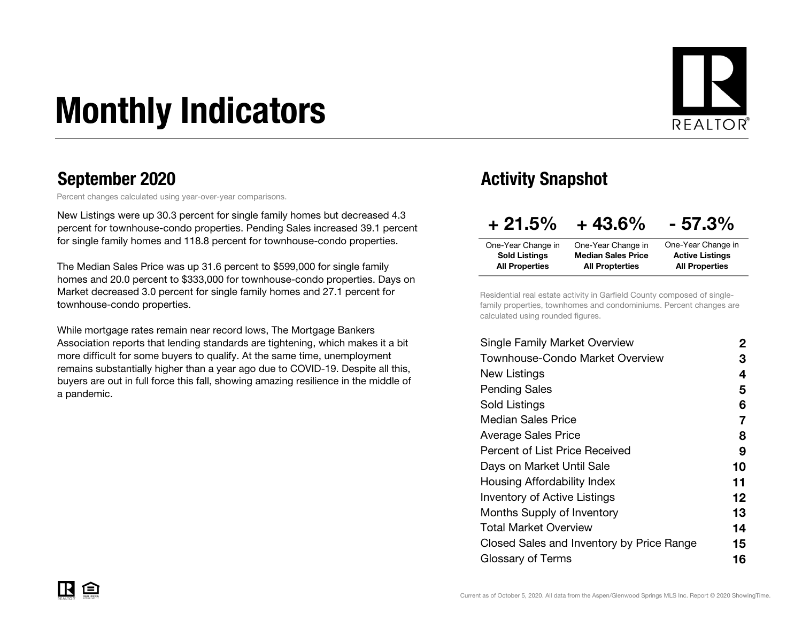# Monthly Indicators



Percent changes calculated using year-over-year comparisons.

New Listings were up 30.3 percent for single family homes but decreased 4.3 percent for townhouse-condo properties. Pending Sales increased 39.1 percent for single family homes and 118.8 percent for townhouse-condo properties.

The Median Sales Price was up 31.6 percent to \$599,000 for single family homes and 20.0 percent to \$333,000 for townhouse-condo properties. Days on Market decreased 3.0 percent for single family homes and 27.1 percent for townhouse-condo properties.

While mortgage rates remain near record lows, The Mortgage Bankers Association reports that lending standards are tightening, which makes it a bit more difficult for some buyers to qualify. At the same time, unemployment remains substantially higher than a year ago due to COVID-19. Despite all this, buyers are out in full force this fall, showing amazing resilience in the middle of a pandemic.

### September 2020 **Activity Snapshot** September 2020

| $+21.5%$              | $+43.6%$                  | $-57.3%$               |
|-----------------------|---------------------------|------------------------|
| One-Year Change in    | One-Year Change in        | One-Year Change in     |
| <b>Sold Listings</b>  | <b>Median Sales Price</b> | <b>Active Listings</b> |
| <b>All Properties</b> | <b>All Propterties</b>    | <b>All Properties</b>  |

Residential real estate activity in Garfield County composed of singlefamily properties, townhomes and condominiums. Percent changes are calculated using rounded figures.

| Single Family Market Overview             | $\mathbf{2}$      |
|-------------------------------------------|-------------------|
| Townhouse-Condo Market Overview           | З                 |
| New Listings                              | 4                 |
| <b>Pending Sales</b>                      | 5                 |
| Sold Listings                             | 6                 |
| <b>Median Sales Price</b>                 | 7                 |
| <b>Average Sales Price</b>                | 8                 |
| <b>Percent of List Price Received</b>     | 9                 |
| Days on Market Until Sale                 | 10                |
| Housing Affordability Index               | 11                |
| <b>Inventory of Active Listings</b>       | $12 \ \mathsf{ }$ |
| <b>Months Supply of Inventory</b>         | 13                |
| Total Market Overview                     | 14                |
| Closed Sales and Inventory by Price Range | 15                |
| Glossary of Terms                         | 16                |
|                                           |                   |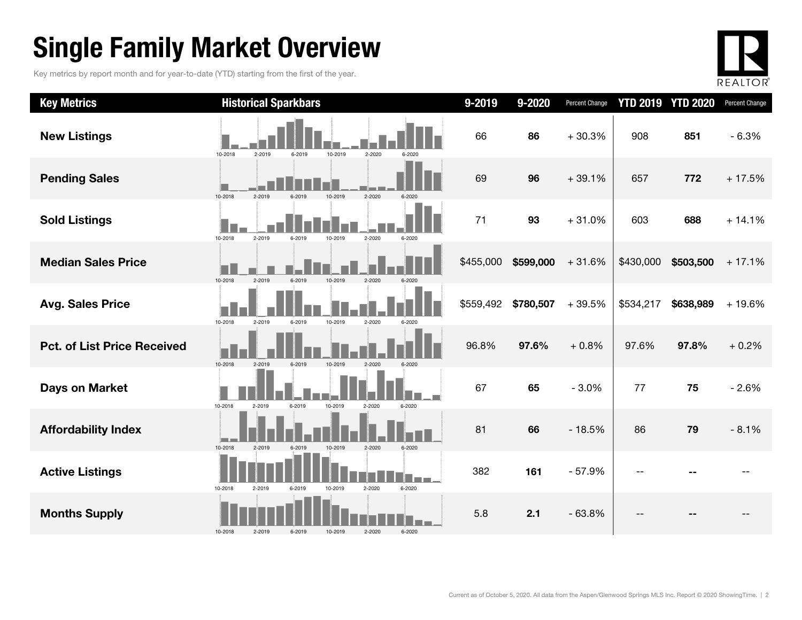### Single Family Market Overview

Key metrics by report month and for year-to-date (YTD) starting from the first of the year.



| <b>Key Metrics</b>                 | <b>Historical Sparkbars</b>                                    | 9-2019    | 9-2020    | Percent Change | <b>YTD 2019</b> | <b>YTD 2020</b> | Percent Change |
|------------------------------------|----------------------------------------------------------------|-----------|-----------|----------------|-----------------|-----------------|----------------|
| <b>New Listings</b>                | 10-2018<br>2-2019<br>6-2019<br>10-2019<br>2-2020<br>6-2020     | 66        | 86        | $+30.3%$       | 908             | 851             | $-6.3%$        |
| <b>Pending Sales</b>               | 10-2018<br>2-2019<br>6-2019<br>10-2019<br>$2 - 2020$<br>6-2020 | 69        | 96        | $+39.1%$       | 657             | 772             | $+17.5%$       |
| <b>Sold Listings</b>               | 10-2018<br>2-2019<br>2-2020<br>6-2019<br>10-2019<br>6-2020     | 71        | 93        | $+31.0%$       | 603             | 688             | $+14.1%$       |
| <b>Median Sales Price</b>          | 2-2019<br>10-2018<br>6-2019<br>2-2020<br>10-2019               | \$455,000 | \$599,000 | $+31.6%$       | \$430,000       | \$503,500       | $+17.1%$       |
| <b>Avg. Sales Price</b>            | 10-2018<br>2-2019<br>6-2019<br>10-2019<br>2-2020               | \$559,492 | \$780,507 | $+39.5%$       | \$534,217       | \$638,989       | $+19.6%$       |
| <b>Pct. of List Price Received</b> | 2-2019<br>10-2018<br>6-2019<br>10-2019<br>2-2020               | 96.8%     | 97.6%     | $+0.8%$        | 97.6%           | 97.8%           | $+0.2%$        |
| <b>Days on Market</b>              | 10-2018<br>6-2019<br>10-2019<br>2-2019<br>2-2020<br>6-2020     | 67        | 65        | $-3.0%$        | 77              | 75              | $-2.6%$        |
| <b>Affordability Index</b>         | 10-2018<br>2-2019<br>6-2019<br>10-2019<br>2-2020<br>6-2020     | 81        | 66        | $-18.5%$       | 86              | 79              | $-8.1%$        |
| <b>Active Listings</b>             | 10-2018<br>10-2019<br>2-2020<br>6-2020<br>2-2019<br>6-2019     | 382       | 161       | $-57.9%$       |                 |                 |                |
| <b>Months Supply</b>               | 10-2018<br>2-2019<br>2-2020<br>6-2020<br>6-2019<br>10-2019     | 5.8       | 2.1       | $-63.8%$       |                 |                 |                |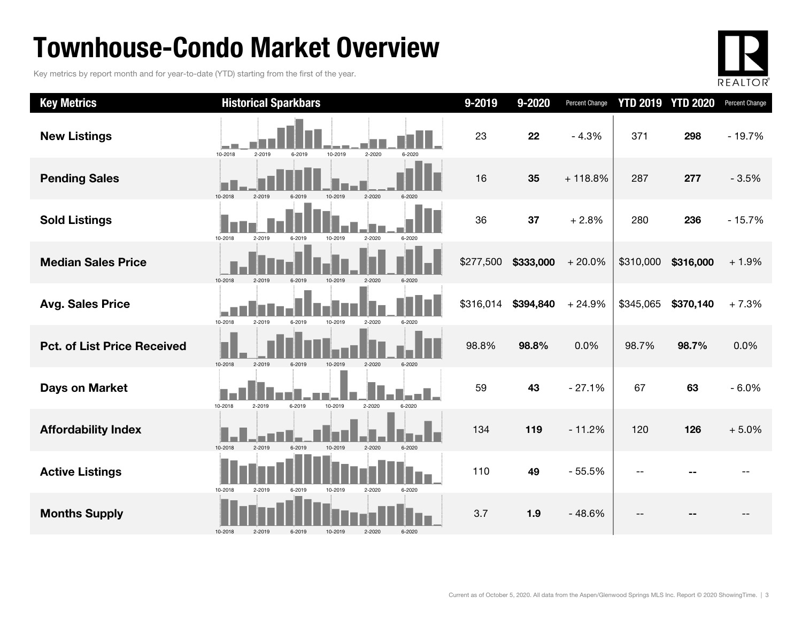### Townhouse-Condo Market Overview

Key metrics by report month and for year-to-date (YTD) starting from the first of the year.



| <b>Key Metrics</b>                 | <b>Historical Sparkbars</b>                                    | 9-2019    | 9-2020    | Percent Change |           | <b>YTD 2019 YTD 2020</b> | Percent Change |
|------------------------------------|----------------------------------------------------------------|-----------|-----------|----------------|-----------|--------------------------|----------------|
| <b>New Listings</b>                | 10-2018<br>2-2019<br>6-2019<br>10-2019<br>2-2020<br>6-2020     | 23        | 22        | $-4.3%$        | 371       | 298                      | $-19.7%$       |
| <b>Pending Sales</b>               | 2-2020<br>10-2018                                              | 16        | 35        | $+118.8%$      | 287       | 277                      | $-3.5%$        |
| <b>Sold Listings</b>               | 10-2018<br>$2 - 2020$<br>2-2019<br>6-2019<br>10-2019<br>6-2020 | 36        | 37        | $+2.8%$        | 280       | 236                      | $-15.7%$       |
| <b>Median Sales Price</b>          | 10-2018<br>2-2019<br>6-2019<br>10-2019<br>2-2020<br>6-2020     | \$277,500 | \$333,000 | $+20.0%$       | \$310,000 | \$316,000                | $+1.9%$        |
| <b>Avg. Sales Price</b>            | 10-2018<br>2-2019<br>6-2019<br>10-2019<br>2-2020<br>6-2020     | \$316,014 | \$394,840 | $+24.9%$       | \$345,065 | \$370,140                | $+7.3%$        |
| <b>Pct. of List Price Received</b> | 10-2018<br>2-2019<br>6-2019<br>10-2019<br>$2 - 2020$           | 98.8%     | 98.8%     | 0.0%           | 98.7%     | 98.7%                    | 0.0%           |
| <b>Days on Market</b>              | 10-2018<br>2-2019<br>6-2019<br>10-2019<br>2-2020<br>6-2020     | 59        | 43        | $-27.1%$       | 67        | 63                       | $-6.0%$        |
| <b>Affordability Index</b>         | 10-2018<br>2-2019<br>6-2019<br>10-2019<br>$2 - 2020$<br>6-2020 | 134       | 119       | $-11.2%$       | 120       | 126                      | $+5.0%$        |
| <b>Active Listings</b>             | 10-2018<br>2-2019<br>6-2019<br>10-2019<br>2-2020<br>6-2020     | 110       | 49        | $-55.5%$       | $-$       |                          |                |
| <b>Months Supply</b>               | 10-2018<br>2-2020<br>6-2020<br>2-2019<br>10-2019<br>6-2019     | 3.7       | 1.9       | $-48.6%$       | --        |                          |                |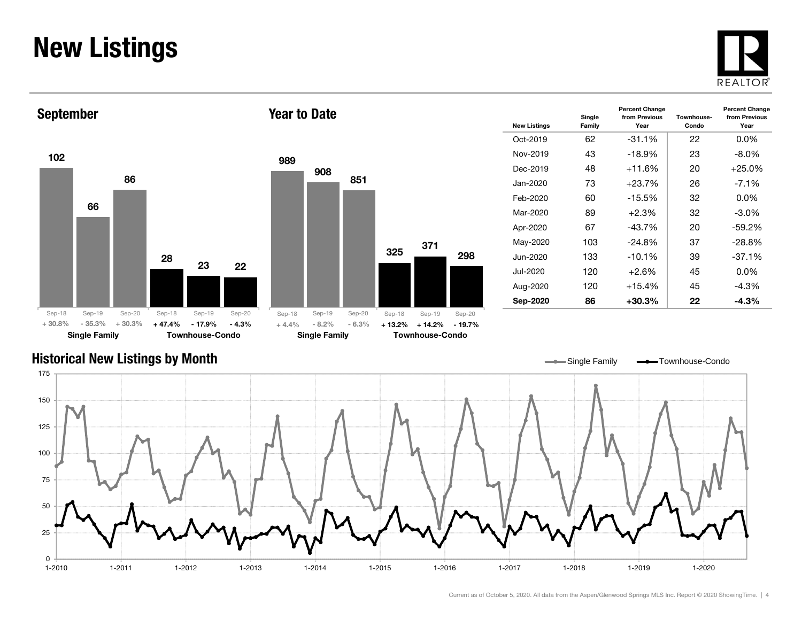### New Listings







Year to Date

| <b>New Listings</b> | Single<br>Family | <b>Percent Change</b><br>from Previous<br>Year | Townhouse-<br>Condo | <b>Percent Change</b><br>from Previous<br>Year |
|---------------------|------------------|------------------------------------------------|---------------------|------------------------------------------------|
| Oct-2019            | 62               | $-31.1\%$                                      | 22                  | $0.0\%$                                        |
| Nov-2019            | 43               | $-18.9%$                                       | 23                  | $-8.0\%$                                       |
| Dec-2019            | 48               | $+11.6%$                                       | 20                  | $+25.0%$                                       |
| Jan-2020            | 73               | $+23.7%$                                       | 26                  | $-7.1\%$                                       |
| Feb-2020            | 60               | $-15.5%$                                       | 32                  | $0.0\%$                                        |
| Mar-2020            | 89               | $+2.3%$                                        | 32                  | -3.0%                                          |
| Apr-2020            | 67               | $-43.7%$                                       | 20                  | $-59.2%$                                       |
| May-2020            | 103              | $-24.8%$                                       | 37                  | $-28.8%$                                       |
| Jun-2020            | 133              | $-10.1%$                                       | 39                  | $-37.1%$                                       |
| Jul-2020            | 120              | $+2.6\%$                                       | 45                  | $0.0\%$                                        |
| Aug-2020            | 120              | $+15.4%$                                       | 45                  | -4.3%                                          |
| Sep-2020            | 86               | +30.3%                                         | 22                  | $-4.3%$                                        |

#### Historical New Listings by Month

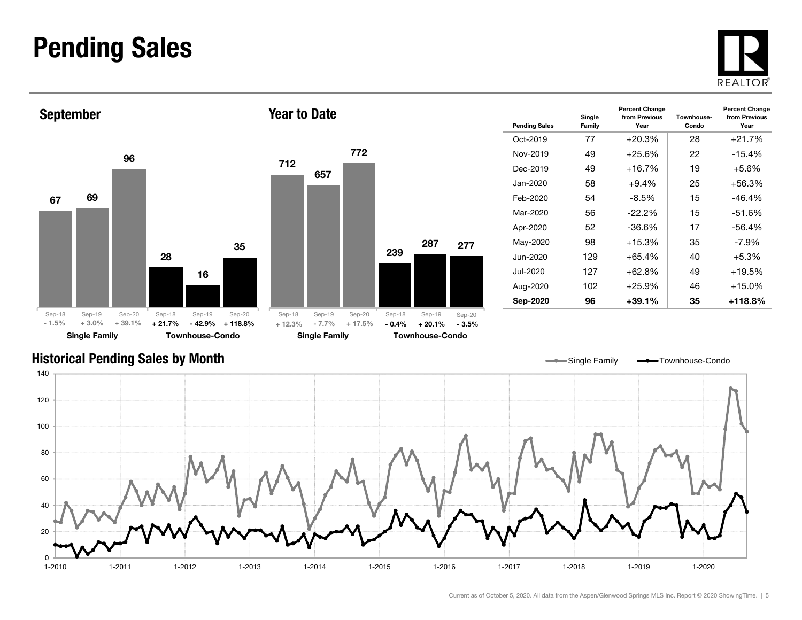### Pending Sales







| <b>Pending Sales</b> | Single<br>Family | <b>Percent Change</b><br>from Previous<br>Year | Townhouse-<br>Condo | <b>Percent Change</b><br>from Previous<br>Year |
|----------------------|------------------|------------------------------------------------|---------------------|------------------------------------------------|
| Oct-2019             | 77               | $+20.3%$                                       | 28                  | $+21.7%$                                       |
| Nov-2019             | 49               | $+25.6%$                                       | 22                  | $-15.4%$                                       |
| Dec-2019             | 49               | $+16.7%$                                       | 19                  | $+5.6%$                                        |
| Jan-2020             | 58               | $+9.4%$                                        | 25                  | $+56.3%$                                       |
| Feb-2020             | 54               | $-8.5%$                                        | 15                  | $-46.4%$                                       |
| Mar-2020             | 56               | $-22.2\%$                                      | 15                  | $-51.6%$                                       |
| Apr-2020             | 52               | -36.6%                                         | 17                  | $-56.4%$                                       |
| May-2020             | 98               | $+15.3%$                                       | 35                  | -7.9%                                          |
| Jun-2020             | 129              | $+65.4%$                                       | 40                  | $+5.3%$                                        |
| Jul-2020             | 127              | $+62.8%$                                       | 49                  | $+19.5%$                                       |
| Aug-2020             | 102              | $+25.9%$                                       | 46                  | $+15.0%$                                       |
| Sep-2020             | 96               | +39.1%                                         | 35                  | +118.8%                                        |

Single Family **-**Townhouse-Condo

#### Historical Pending Sales by Month

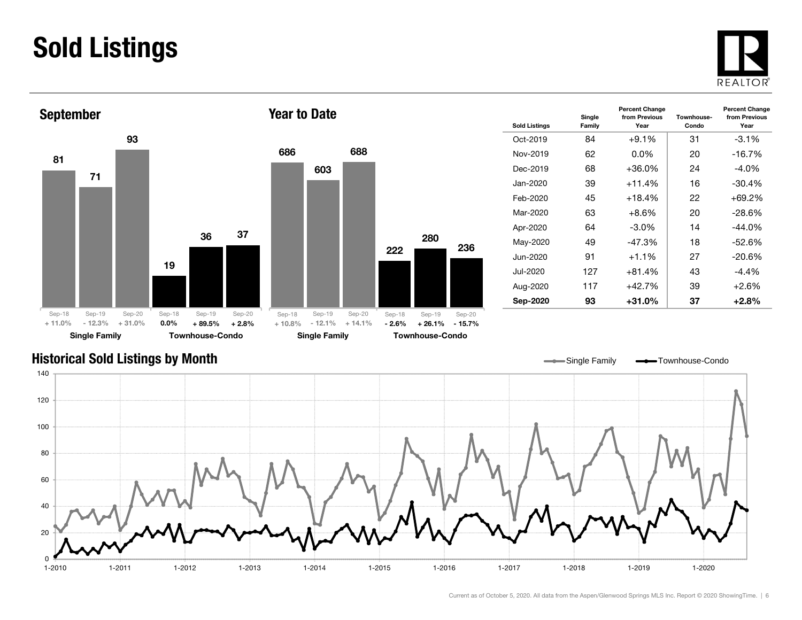### Sold Listings





| <b>Sold Listings</b> | Single<br>Family | <b>Percent Change</b><br>from Previous<br>Year | Townhouse-<br>Condo | <b>Percent Change</b><br>from Previous<br>Year |
|----------------------|------------------|------------------------------------------------|---------------------|------------------------------------------------|
| $Oct-2019$           | 84               | $+9.1%$                                        | 31                  | $-3.1\%$                                       |
| Nov-2019             | 62               | $0.0\%$                                        | 20                  | $-16.7%$                                       |
| Dec-2019             | 68               | $+36.0%$                                       | 24                  | $-4.0\%$                                       |
| Jan-2020.            | 39               | $+11.4%$                                       | 16                  | $-30.4\%$                                      |
| Feb-2020             | 45               | $+18.4%$<br>22                                 |                     | +69.2%                                         |
| Mar-2020             | 63               | $+8.6\%$<br>20                                 |                     | $-28.6\%$                                      |
| Apr-2020             | 64               | $-3.0\%$                                       | 14                  | $-44.0\%$                                      |
| May-2020             | 49               | $-47.3%$                                       | 18                  | $-52.6%$                                       |
| Jun-2020             | 91               | $+1.1\%$                                       | 27                  | $-20.6\%$                                      |
| Jul-2020             | 127              | $+81.4%$                                       | 43                  | $-4.4%$                                        |
| Aug-2020             | 117              | $+42.7%$                                       | 39                  | $+2.6%$                                        |
| Sep-2020             | 93               | $+31.0\%$                                      | 37                  | $+2.8%$                                        |

#### Historical Sold Listings by Month



236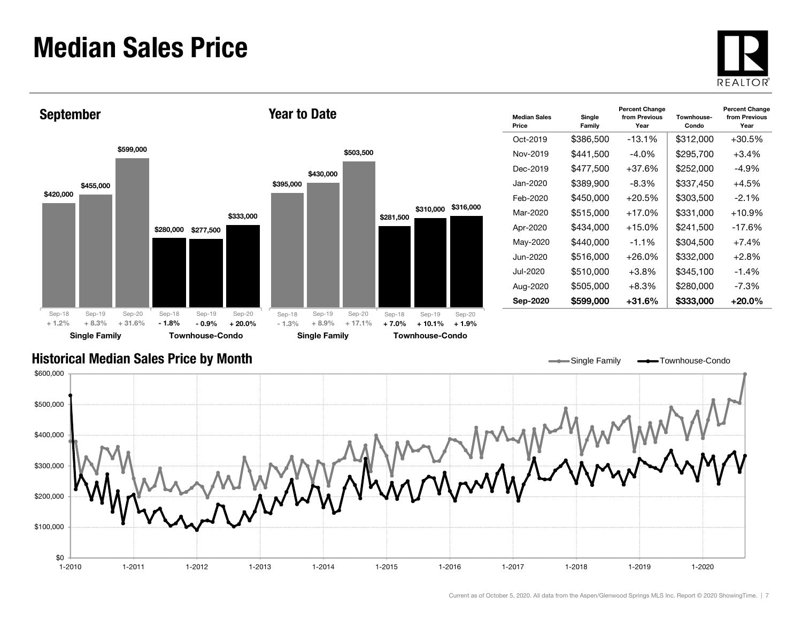### Median Sales Price





| <b>Median Sales</b><br>Price | Single<br>Family | <b>Percent Change</b><br>from Previous<br>Year | Townhouse-<br>Condo | <b>Percent Change</b><br>from Previous<br>Year |
|------------------------------|------------------|------------------------------------------------|---------------------|------------------------------------------------|
| Oct-2019                     | \$386,500        | $-13.1%$                                       | \$312,000           | $+30.5\%$                                      |
| Nov-2019                     | \$441,500        | $-4.0\%$                                       | \$295,700           | $+3.4%$                                        |
| Dec-2019                     | \$477,500        | $+37.6%$                                       | \$252,000           | -4.9%                                          |
| Jan-2020                     | \$389,900        | -8.3%                                          | \$337,450           | $+4.5%$                                        |
| Feb-2020                     | \$450,000        | $+20.5%$                                       | \$303,500           | $-2.1\%$                                       |
| Mar-2020                     | \$515,000        | $+17.0%$                                       | \$331,000           | $+10.9%$                                       |
| Apr-2020                     | \$434,000        | $+15.0%$                                       | \$241,500           | $-17.6%$                                       |
| May-2020                     | \$440,000        | $-1.1%$                                        | \$304,500           | $+7.4%$                                        |
| . lun-2020                   | \$516,000        | $+26.0%$                                       | \$332,000           | $+2.8\%$                                       |
| Jul-2020                     | \$510,000        | $+3.8\%$                                       | \$345,100           | $-1.4%$                                        |
| Aug-2020                     | \$505,000        | +8.3%                                          | \$280,000           | $-7.3%$                                        |
| Sep-2020                     | \$599,000        | $+31.6\%$                                      | \$333,000           | $+20.0\%$                                      |

Single Family **-**Townhouse-Condo

#### Historical Median Sales Price by Month

\$0 \$100,000 \$200,000 \$300,000 \$400,000 \$500,000 \$600,000 1-2010 1-2011 1-2012 1-2013 1-2014 1-2015 1-2016 1-2017 1-2018 1-2019 1-20201-2020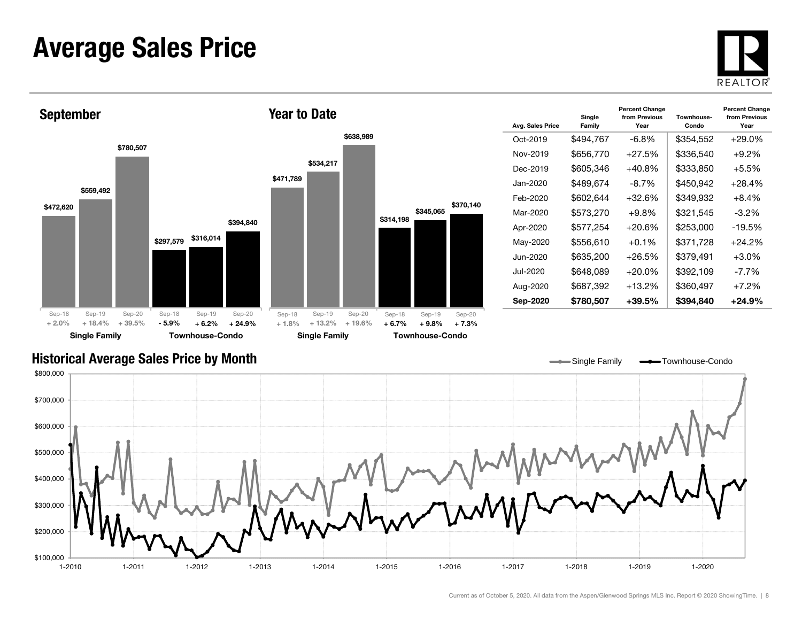### Average Sales Price





| Avg. Sales Price | Single<br>Family | <b>Percent Change</b><br>from Previous<br>Year | Townhouse-<br>Condo | <b>Percent Change</b><br>from Previous<br>Year |
|------------------|------------------|------------------------------------------------|---------------------|------------------------------------------------|
| Oct-2019         | \$494,767        | -6.8%                                          | \$354,552           | +29.0%                                         |
| Nov-2019         | \$656,770        | $+27.5%$                                       | \$336,540           | $+9.2\%$                                       |
| Dec-2019         | \$605,346        | $+40.8\%$                                      | \$333,850           | $+5.5\%$                                       |
| Jan-2020         | \$489.674        | $-8.7\%$                                       | \$450.942           | $+28.4%$                                       |
| Feb-2020         | \$602,644        | $+32.6%$                                       | \$349,932           | $+8.4%$                                        |
| Mar-2020         | \$573,270        | $+9.8\%$                                       | \$321,545           | -3.2%                                          |
| Apr-2020         | \$577,254        | $+20.6%$                                       | \$253,000           | -19.5%                                         |
| May-2020         | \$556,610        | $+0.1%$                                        | \$371,728           | +24.2%                                         |
| . lun-2020       | \$635,200        | $+26.5\%$                                      | \$379,491           | $+3.0\%$                                       |
| Jul-2020         | \$648,089        | $+20.0%$                                       | \$392,109           | $-7.7\%$                                       |
| Aug-2020         | \$687,392        | $+13.2%$                                       | \$360,497           | $+7.2%$                                        |
| Sep-2020         | \$780,507        | +39.5%                                         | \$394,840           | +24.9%                                         |

Single Family **-**Townhouse-Condo

#### Historical Average Sales Price by Month

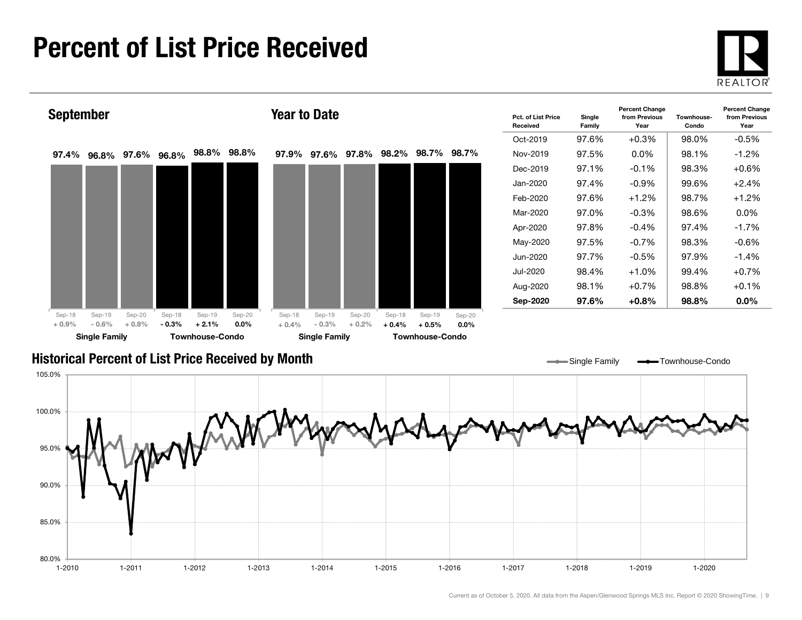### Percent of List Price Received





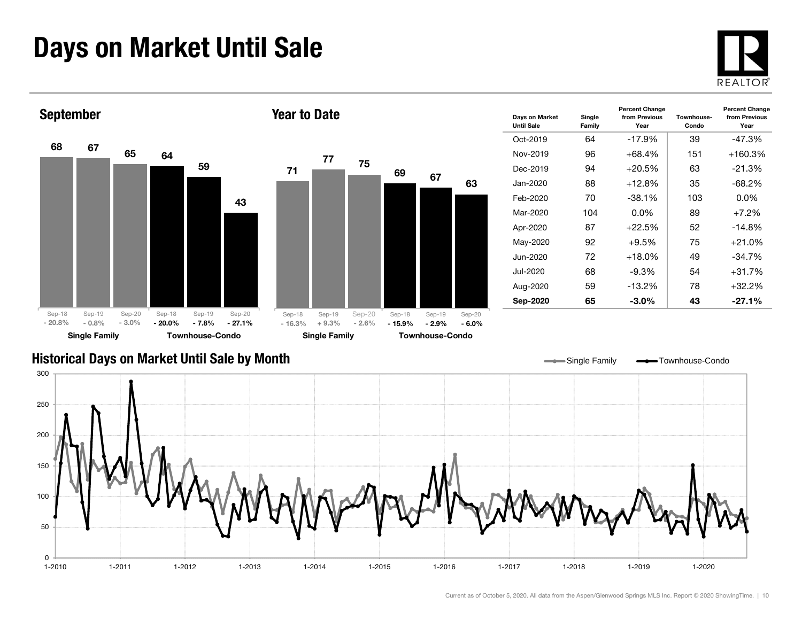### Days on Market Until Sale





#### Historical Days on Market Until Sale by Month

Single Family - Townhouse-Condo

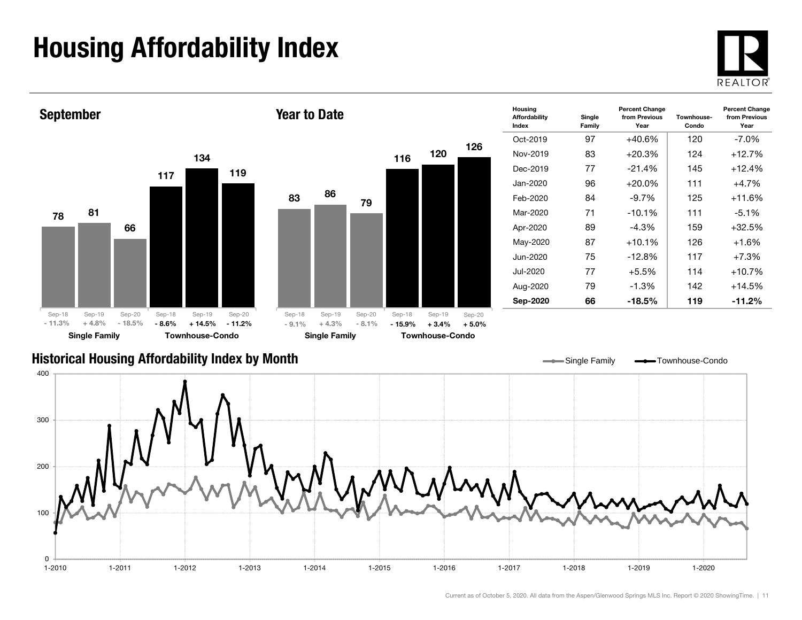## Housing Affordability Index



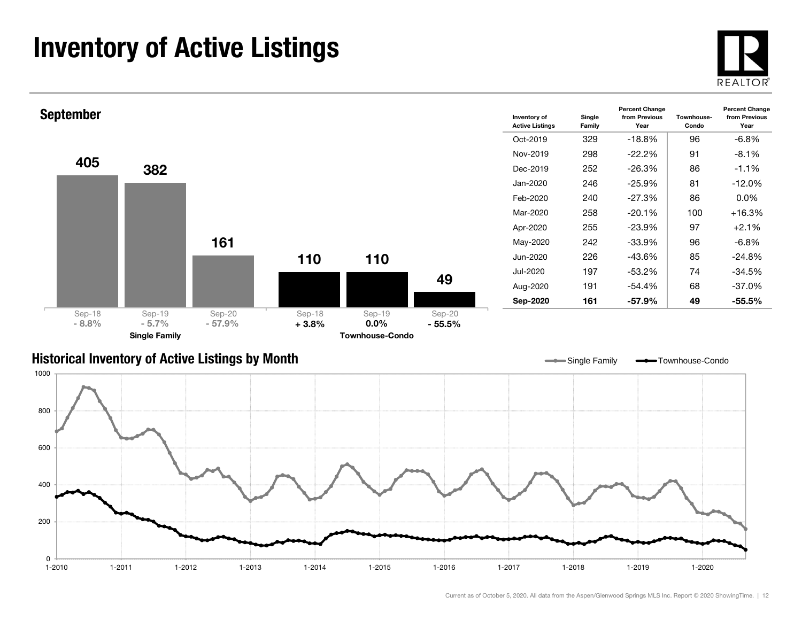### Inventory of Active Listings





#### Historical Inventory of Active Listings by Month

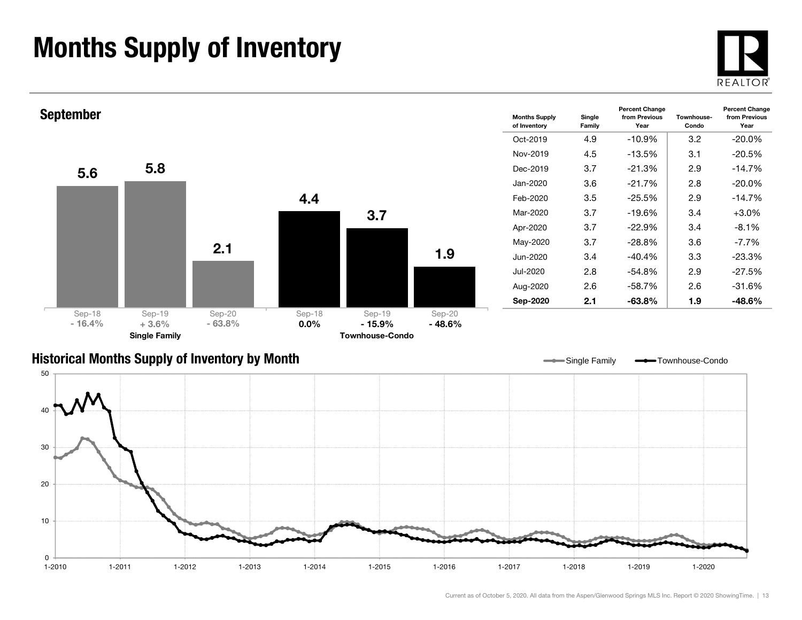### Months Supply of Inventory





#### Historical Months Supply of Inventory by Month



Single Family **-**Townhouse-Condo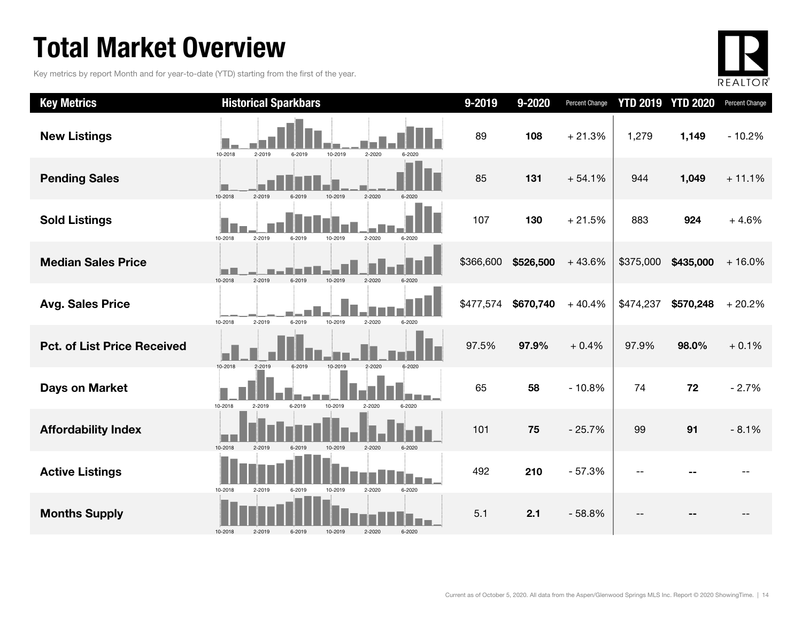### Total Market Overview

Key metrics by report Month and for year-to-date (YTD) starting from the first of the year.



| <b>Key Metrics</b>                 | <b>Historical Sparkbars</b>                                    | 9-2019    | 9-2020    | Percent Change |           | <b>YTD 2019 YTD 2020</b> | Percent Change |
|------------------------------------|----------------------------------------------------------------|-----------|-----------|----------------|-----------|--------------------------|----------------|
| <b>New Listings</b>                | 10-2018<br>2-2019<br>6-2019<br>10-2019<br>2-2020<br>6-2020     | 89        | 108       | $+21.3%$       | 1,279     | 1,149                    | $-10.2%$       |
| <b>Pending Sales</b>               | 10-2018<br>2-2019<br>$2 - 2020$<br>6-2019<br>10-2019<br>6-2020 | 85        | 131       | $+54.1%$       | 944       | 1,049                    | $+11.1%$       |
| <b>Sold Listings</b>               | 10-2018<br>2-2019<br>2-2020<br>6-2019<br>10-2019<br>6-2020     | 107       | 130       | $+21.5%$       | 883       | 924                      | $+4.6%$        |
| <b>Median Sales Price</b>          | 10-2018<br>2-2020<br>$2 - 2019$<br>6-2019<br>10-2019<br>6-2020 | \$366,600 | \$526,500 | $+43.6%$       | \$375,000 | \$435,000                | $+16.0%$       |
| <b>Avg. Sales Price</b>            | 10-2019<br>2-2019<br>6-2019<br>2-2020<br>10-2018<br>6-2020     | \$477,574 | \$670,740 | $+40.4%$       | \$474,237 | \$570,248                | $+20.2%$       |
| <b>Pct. of List Price Received</b> | 10-2018<br>2-2019<br>6-2019<br>10-2019<br>2-2020               | 97.5%     | 97.9%     | $+0.4%$        | 97.9%     | 98.0%                    | $+0.1%$        |
| <b>Days on Market</b>              | 10-2019<br>10-2018<br>2-2019<br>6-2019<br>2-2020<br>6-2020     | 65        | 58        | $-10.8%$       | 74        | 72                       | $-2.7%$        |
| <b>Affordability Index</b>         | 10-2018<br>$2 - 2020$<br>2-2019<br>10-2019<br>6-2020<br>6-2019 | 101       | 75        | $-25.7%$       | 99        | 91                       | $-8.1%$        |
| <b>Active Listings</b>             | 6-2020<br>10-2018<br>10-2019<br>2-2020<br>2-2019<br>6-2019     | 492       | 210       | $-57.3%$       |           |                          |                |
| <b>Months Supply</b>               | 10-2018<br>2-2019<br>6-2019<br>10-2019<br>2-2020<br>6-2020     | 5.1       | 2.1       | $-58.8%$       |           |                          |                |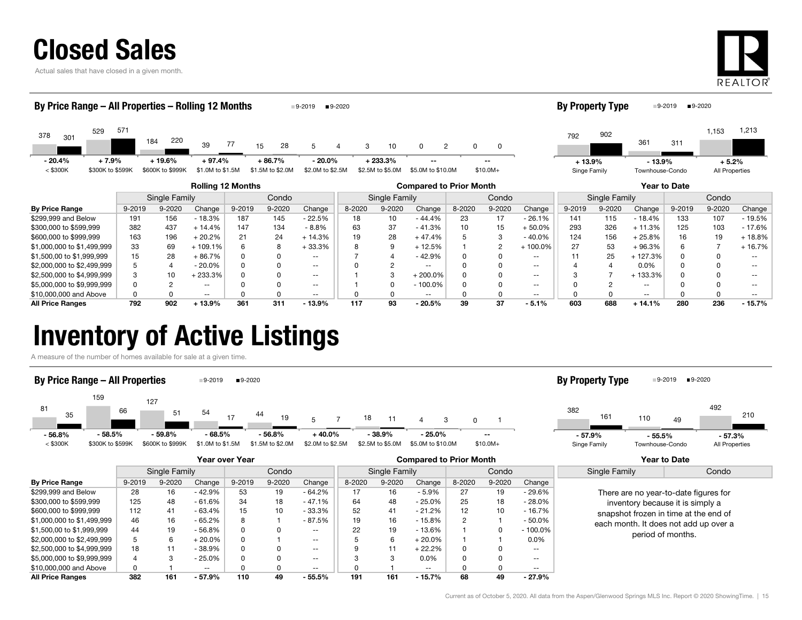

Actual sales that have closed in a given month.



| By Price Range - All Properties - Rolling 12 Months<br>$9 - 2020$<br>$9-2019$ |        |                  |                          |          |                  |                                                       |        |                  |                          |                     | <b>By Property Type</b> |                          |              | ■9-2020<br>$9-2019$    |                 |        |                |          |
|-------------------------------------------------------------------------------|--------|------------------|--------------------------|----------|------------------|-------------------------------------------------------|--------|------------------|--------------------------|---------------------|-------------------------|--------------------------|--------------|------------------------|-----------------|--------|----------------|----------|
| 529<br>378<br>301                                                             | 571    | 220<br>184       | 39                       | 77       | 28<br>15         | 5                                                     | 3<br>4 | 10               | $\Omega$                 | $\overline{2}$<br>0 | 0                       |                          | 792          | 902                    | 361             | 311    | 1,153          | 1,213    |
| $-20.4%$<br>$+7.9%$                                                           |        | $+19.6%$         | + 97.4%                  |          | $+86.7%$         | - 20.0%                                               |        | $+233.3%$        |                          |                     |                         |                          | $+13.9%$     |                        | $-13.9%$        |        | $+5.2%$        |          |
| $<$ \$300K<br>\$300K to \$599K                                                |        | \$600K to \$999K | \$1.0M to \$1.5M         |          | \$1.5M to \$2.0M | \$2.0M to \$2.5M                                      |        | \$2.5M to \$5.0M | \$5.0M to \$10.0M        |                     | $$10.0M+$               |                          | Singe Family |                        | Townhouse-Condo |        | All Properties |          |
|                                                                               |        |                  | <b>Rolling 12 Months</b> |          |                  | <b>Compared to Prior Month</b><br><b>Year to Date</b> |        |                  |                          |                     |                         |                          |              |                        |                 |        |                |          |
|                                                                               |        | Single Family    |                          |          | Condo            |                                                       |        | Single Family    |                          |                     | Condo                   |                          |              | Condo<br>Single Family |                 |        |                |          |
| <b>By Price Range</b>                                                         | 9-2019 | 9-2020           | Change                   | 9-2019   | 9-2020           | Change                                                | 8-2020 | 9-2020           | Change                   | 8-2020              | 9-2020                  | Change                   | 9-2019       | 9-2020                 | Change          | 9-2019 | 9-2020         | Change   |
| \$299,999 and Below                                                           | 191    | 156              | $-18.3%$                 | 187      | 145              | $-22.5%$                                              | 18     | 10               | $-44.4%$                 | 23                  | 17                      | $-26.1%$                 | 141          | 115                    | $-18.4%$        | 133    | 107            | $-19.5%$ |
| \$300,000 to \$599,999                                                        | 382    | 437              | $+14.4%$                 | 147      | 134              | $-8.8%$                                               | 63     | 37               | $-41.3%$                 | 10                  | 15                      | $+50.0%$                 | 293          | 326                    | $+11.3%$        | 125    | 103            | $-17.6%$ |
| \$600,000 to \$999,999                                                        | 163    | 196              | $+20.2%$                 | 21       | 24               | $+14.3%$                                              | 19     | 28               | $+47.4%$                 |                     | 3                       | $-40.0%$                 | 124          | 156                    | $+25.8%$        | 16     | 19             | $+18.8%$ |
| \$1,000,000 to \$1,499,999                                                    | 33     | 69               | $+109.1%$                | 6        | 8                | $+33.3%$                                              |        | 9                | $+12.5%$                 |                     |                         | $+100.0\%$               | 27           | 53                     | $+96.3%$        | 6      |                | $+16.7%$ |
| \$1,500,00 to \$1,999,999                                                     | 15     | 28               | $+86.7%$                 |          |                  | --                                                    |        |                  | $-42.9%$                 |                     |                         | $\sim$ $\sim$            |              | 25                     | $+127.3%$       |        |                |          |
| \$2,000,000 to \$2,499,999                                                    |        | $\overline{4}$   | $-20.0\%$                | $\Omega$ |                  | $- -$                                                 |        | $\overline{2}$   | $\overline{\phantom{m}}$ |                     |                         | $\sim$ $\sim$            |              | 4                      | $0.0\%$         |        |                |          |
| \$2,500,000 to \$4,999,999                                                    |        | 10               | +233.3%                  |          |                  | $\overline{\phantom{a}}$                              |        | 3                | $+200.0\%$               |                     |                         | $- -$                    |              |                        | $+133.3%$       |        |                |          |
| \$5,000,000 to \$9,999,999                                                    |        | 2                | $- -$                    |          |                  | $\overline{\phantom{a}}$                              |        | 0                | $-100.0\%$               |                     |                         | $\sim$ $\sim$            |              |                        | $\sim$ $\sim$   |        |                |          |
| \$10,000,000 and Above                                                        |        | 0                | $- -$                    |          |                  | $\overline{\phantom{a}}$                              |        | 0                | $- -$                    |                     |                         | $\overline{\phantom{m}}$ |              |                        | $\sim$ $\sim$   |        |                |          |
| <b>All Price Ranges</b>                                                       | 792    | 902              | $+13.9%$                 | 361      | 311              | $-13.9%$                                              | 117    | 93               | $-20.5%$                 | 39                  | 37                      | $-5.1%$                  | 603          | 688                    | $+14.1%$        | 280    | 236            | $-15.7%$ |

All Price Ranges 792 902 + 13.9% 361 311 - 13.9% 117 93 - 20.5% 39 37 - 5.1% 603 688 + 14.1% 280 236 - 15.7%

### Inventory of Active Listings

A measure of the number of homes available for sale at a given time.



|                            |        |               |           | Year over Year |            |                          | <b>Compared to Prior Month</b> |               |               |        |            |                          | Year to Date                          |                                       |
|----------------------------|--------|---------------|-----------|----------------|------------|--------------------------|--------------------------------|---------------|---------------|--------|------------|--------------------------|---------------------------------------|---------------------------------------|
|                            |        | Single Family |           |                | Condo      |                          |                                | Single Family |               | Condo  |            |                          | Single Family                         | Condo                                 |
| <b>By Price Range</b>      | 9-2019 | 9-2020        | Change    | 9-2019         | $9 - 2020$ | Change                   | 8-2020                         | 9-2020        | Change        | 8-2020 | $9 - 2020$ | Change                   |                                       |                                       |
| \$299,999 and Below        | 28     | 16            | - 42.9%   | 53             | 19         | - 64.2%                  |                                | 16            | - 5.9%        | 27     | 19         | - 29.6%                  |                                       | There are no year-to-date figures for |
| \$300,000 to \$599,999     | 125    | 48            | $-61.6%$  | 34             | 18         | $-47.1%$                 | 64                             | 48            | $-25.0%$      | 25     | 18         | $-28.0%$                 |                                       | inventory because it is simply a      |
| \$600,000 to \$999,999     | 112    | 41            | $-63.4%$  | 15             | 10         | $-33.3%$                 | 52                             | 41            | $-21.2%$      | 12     | 10         | $-16.7%$                 | snapshot frozen in time at the end of |                                       |
| \$1,000,000 to \$1,499,999 | 46     | 16            | $-65.2%$  | 8              |            | - 87.5%                  | 19                             | 16            | $-15.8%$      | 2      |            | $-50.0\%$                | each month. It does not add up over a |                                       |
| \$1,500,00 to \$1,999,999  | 44     | 19            | $-56.8%$  | 0              |            | $- -$                    | 22                             | 19            | $-13.6%$      |        |            | $-100.0\%$               | period of months.                     |                                       |
| \$2,000,000 to \$2,499,999 | 5      | 6             | $+20.0\%$ | 0              |            | $\overline{\phantom{a}}$ |                                | 6             | $+20.0\%$     |        |            | 0.0%                     |                                       |                                       |
| \$2,500,000 to \$4,999,999 | 18     | 11            | $-38.9%$  | 0              |            | --                       |                                |               | $+22.2%$      | 0      |            | --                       |                                       |                                       |
| \$5,000,000 to \$9,999,999 |        | 3             | $-25.0%$  | 0              |            | $\overline{\phantom{a}}$ |                                | 3             | $0.0\%$       | 0      |            | $\overline{\phantom{m}}$ |                                       |                                       |
| \$10,000,000 and Above     |        |               | $- -$     |                |            | $\overline{\phantom{a}}$ |                                |               | $\sim$ $\sim$ |        |            | $\overline{\phantom{a}}$ |                                       |                                       |
| <b>All Price Ranges</b>    | 382    | 161           | - 57.9%   | 110            | 49         | $-55.5%$                 | 191                            | 161           | $-15.7\%$     | 68     | 49         | - 27.9%                  |                                       |                                       |